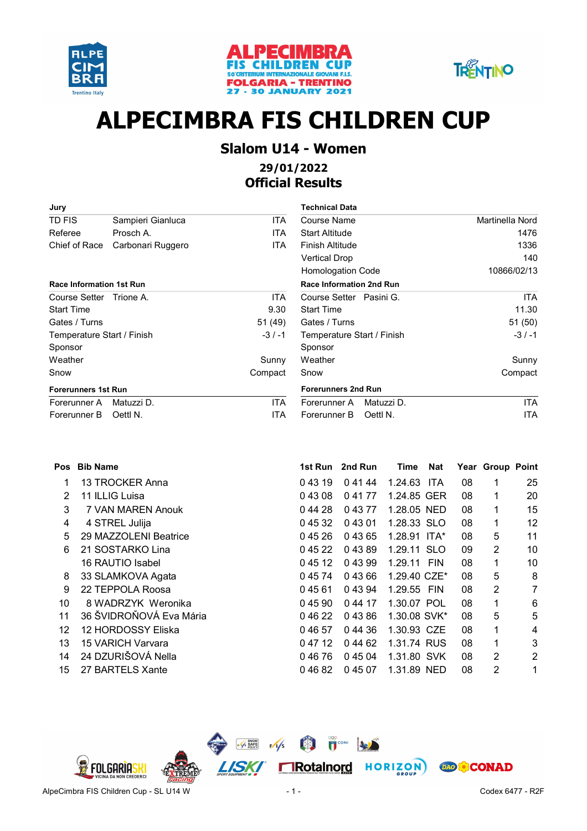





# **ALPECIMBRA FIS CHILDREN CUP**

#### **Slalom U14 - Women 29/01/2022**

### **Official Results**

| Jury                            |                   |            | Technical Data             |                        |
|---------------------------------|-------------------|------------|----------------------------|------------------------|
| TD FIS                          | Sampieri Gianluca | <b>ITA</b> | Course Name                | <b>Martinella Nord</b> |
| Referee                         | Prosch A.         | <b>ITA</b> | <b>Start Altitude</b>      | 1476                   |
| Chief of Race                   | Carbonari Ruggero | <b>ITA</b> | Finish Altitude            | 1336                   |
|                                 |                   |            | <b>Vertical Drop</b>       | 140                    |
|                                 |                   |            | <b>Homologation Code</b>   | 10866/02/13            |
| <b>Race Information 1st Run</b> |                   |            | Race Information 2nd Run   |                        |
| Course Setter                   | Trione A.         | ITA.       | Course Setter Pasini G.    | ITA                    |
| <b>Start Time</b>               |                   | 9.30       | <b>Start Time</b>          | 11.30                  |
| Gates / Turns                   |                   | 51 (49)    | Gates / Turns              | 51(50)                 |
| Temperature Start / Finish      |                   | $-3/ -1$   | Temperature Start / Finish | $-3/ -1$               |
| Sponsor                         |                   |            | Sponsor                    |                        |
| Weather                         |                   | Sunny      | Weather                    | Sunny                  |
| Snow                            |                   | Compact    | Snow                       | Compact                |
| <b>Forerunners 1st Run</b>      |                   |            | <b>Forerunners 2nd Run</b> |                        |
| Forerunner A                    | Matuzzi D.        | <b>ITA</b> | Matuzzi D.<br>Forerunner A | <b>ITA</b>             |
|                                 |                   |            |                            |                        |

Forerunner B Oettl N. **ITA** 

| Technical Data                  |                 |
|---------------------------------|-----------------|
| Course Name                     | Martinella Nord |
| <b>Start Altitude</b>           | 1476            |
| Finish Altitude                 | 1336            |
| Vertical Drop                   | 140             |
| <b>Homologation Code</b>        | 10866/02/13     |
| <b>Race Information 2nd Run</b> |                 |
| Course Setter Pasini G.         | ITA             |
| <b>Start Time</b>               | 11.30           |
| Gates / Turns                   | 51 (50)         |
| Temperature Start / Finish      | $-3/ -1$        |
| Sponsor                         |                 |
| Weather                         | Sunny           |
| Snow                            | Compact         |
| <b>Forerunners 2nd Run</b>      |                 |
| Matuzzi D.<br>Forerunner A      | ITA             |
| Oettl N.<br>Forerunner B        | ITA             |

| <b>Pos</b> | <b>Bib Name</b>          | 1st Run | 2nd Run | Time         | Nat        |    | Year Group Point |                |
|------------|--------------------------|---------|---------|--------------|------------|----|------------------|----------------|
| 1          | 13 TROCKER Anna          | 04319   | 0 41 44 | 1.24.63      | <b>ITA</b> | 08 | 1                | 25             |
| 2          | 11 ILLIG Luisa           | 04308   | 0 41 77 | 1.24.85 GER  |            | 08 | 1                | 20             |
| 3          | 7 VAN MAREN Anouk        | 044 28  | 0 43 77 | 1.28.05 NED  |            | 08 | $\mathbf 1$      | 15             |
| 4          | 4 STREL Julija           | 0 45 32 | 04301   | 1.28.33 SLO  |            | 08 | 1                | 12             |
| 5          | 29 MAZZOLENI Beatrice    | 04526   | 0 43 65 | 1.28.91 ITA* |            | 08 | 5                | 11             |
| 6          | 21 SOSTARKO Lina         | 0 45 22 | 04389   | 1.29.11 SLO  |            | 09 | $\overline{2}$   | 10             |
|            | 16 RAUTIO Isabel         | 0 45 12 | 04399   | 1.29.11 FIN  |            | 08 | 1                | 10             |
| 8          | 33 SLAMKOVA Agata        | 0 45 74 | 04366   | 1.29.40 CZE* |            | 08 | 5                | 8              |
| 9          | 22 TEPPOLA Roosa         | 04561   | 0 43 94 | 1.29.55 FIN  |            | 08 | $\overline{2}$   | $\overline{7}$ |
| 10         | 8 WADRZYK Weronika       | 04590   | 0 44 17 | 1.30.07 POL  |            | 08 | 1                | 6              |
| 11         | 36 ŠVIDROŇOVÁ Eva Mária  | 04622   | 04386   | 1.30.08 SVK* |            | 08 | 5                | 5              |
| 12         | 12 HORDOSSY Eliska       | 04657   | 0 44 36 | 1.30.93 CZE  |            | 08 | 1                | 4              |
| 13         | <b>15 VARICH Varvara</b> | 0 47 12 | 0 44 62 | 1.31.74 RUS  |            | 08 | 1                | 3              |
| 14         | 24 DZURIŠOVÁ Nella       | 04676   | 0 45 04 | 1.31.80 SVK  |            | 08 | 2                | $\overline{2}$ |
| 15         | 27 BARTELS Xante         | 04682   | 0 45 07 | 1.31.89 NED  |            | 08 | 2                | 1              |

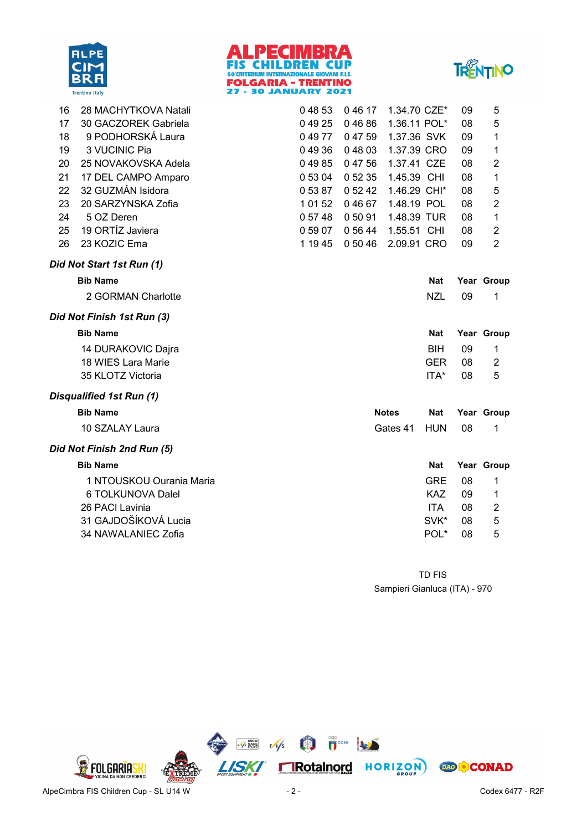





| 16 | 28 MACHYTKOVA Natali       | 04853   | 04617   | 1.34.70 CZE* |            | 09 | 5              |
|----|----------------------------|---------|---------|--------------|------------|----|----------------|
| 17 | 30 GACZOREK Gabriela       | 04925   | 04686   | 1.36.11 POL* |            | 08 | 5              |
| 18 | 9 PODHORSKÁ Laura          | 04977   | 04759   | 1.37.36 SVK  |            | 09 | 1              |
| 19 | 3 VUCINIC Pia              | 04936   | 04803   | 1.37.39 CRO  |            | 09 | 1              |
| 20 | 25 NOVAKOVSKA Adela        | 04985   | 04756   | 1.37.41 CZE  |            | 08 | $\overline{c}$ |
| 21 | 17 DEL CAMPO Amparo        | 0 53 04 | 0 52 35 | 1.45.39 CHI  |            | 08 | 1              |
| 22 | 32 GUZMÁN Isidora          | 05387   | 0 52 42 | 1.46.29 CHI* |            | 08 | 5              |
| 23 | 20 SARZYNSKA Zofia         | 1 01 52 | 04667   | 1.48.19 POL  |            | 08 | $\sqrt{2}$     |
| 24 | 5 OZ Deren                 | 0 57 48 | 05091   | 1.48.39 TUR  |            | 08 | $\mathbf 1$    |
| 25 | 19 ORTÍZ Javiera           | 0 59 07 | 0 56 44 | 1.55.51 CHI  |            | 08 | $\overline{2}$ |
| 26 | 23 KOZIC Ema               | 1 19 45 | 0 50 46 | 2.09.91 CRO  |            | 09 | $\overline{2}$ |
|    | Did Not Start 1st Run (1)  |         |         |              |            |    |                |
|    | <b>Bib Name</b>            |         |         |              | <b>Nat</b> |    | Year Group     |
|    | 2 GORMAN Charlotte         |         |         |              | <b>NZL</b> | 09 | 1              |
|    | Did Not Finish 1st Run (3) |         |         |              |            |    |                |
|    | <b>Bib Name</b>            |         |         |              | <b>Nat</b> |    | Year Group     |
|    |                            |         |         |              |            |    | 1              |
|    | 14 DURAKOVIC Dajra         |         |         |              | <b>BIH</b> | 09 |                |
|    | 18 WIES Lara Marie         |         |         |              | <b>GER</b> | 08 | $\overline{2}$ |
|    | 35 KLOTZ Victoria          |         |         |              | ITA*       | 08 | 5              |
|    | Disqualified 1st Run (1)   |         |         |              |            |    |                |
|    | <b>Bib Name</b>            |         |         | <b>Notes</b> | <b>Nat</b> |    | Year Group     |
|    | 10 SZALAY Laura            |         |         | Gates 41     | <b>HUN</b> | 08 | 1              |
|    | Did Not Finish 2nd Run (5) |         |         |              |            |    |                |
|    | <b>Bib Name</b>            |         |         |              | <b>Nat</b> |    | Year Group     |
|    | 1 NTOUSKOU Ourania Maria   |         |         |              | <b>GRE</b> | 08 | 1              |
|    | 6 TOLKUNOVA Dalel          |         |         |              | <b>KAZ</b> | 09 | 1              |
|    | 26 PACI Lavinia            |         |         |              | <b>ITA</b> | 08 | $\overline{2}$ |
|    | 31 GAJDOŠÍKOVÁ Lucia       |         |         |              | SVK*       | 08 | 5              |
|    | 34 NAWALANIEC Zofia        |         |         |              | POL*       | 08 | 5              |

Sampieri Gianluca (ITA) - 970 TD FIS

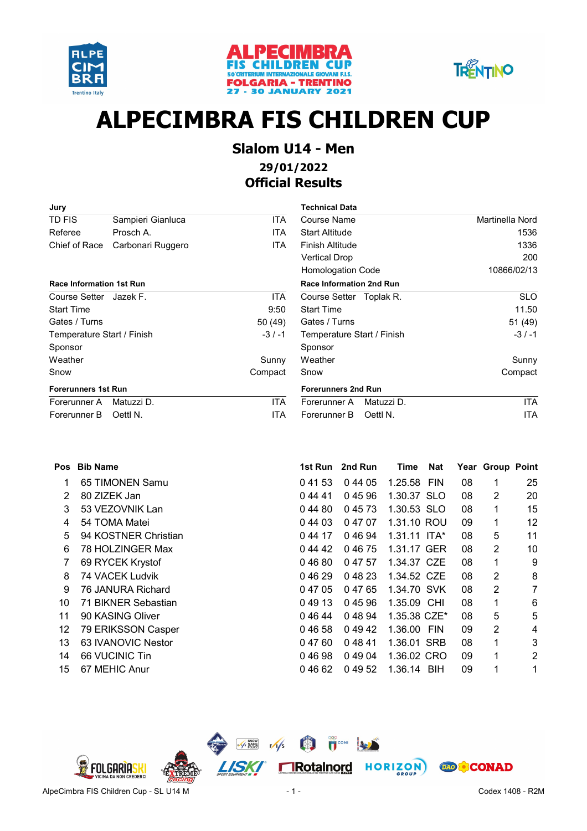





# **ALPECIMBRA FIS CHILDREN CUP**

### **Slalom U14 - Men 29/01/2022 Official Results**

| Jury                            |                   |            | <b>Technical Data</b>           |                 |
|---------------------------------|-------------------|------------|---------------------------------|-----------------|
| TD FIS                          | Sampieri Gianluca | <b>ITA</b> | Course Name                     | Martinella Nord |
| Referee                         | Prosch A.         | <b>ITA</b> | <b>Start Altitude</b>           | 1536            |
| Chief of Race                   | Carbonari Ruggero | ITA.       | Finish Altitude                 | 1336            |
|                                 |                   |            | <b>Vertical Drop</b>            | 200             |
|                                 |                   |            | <b>Homologation Code</b>        | 10866/02/13     |
| <b>Race Information 1st Run</b> |                   |            | <b>Race Information 2nd Run</b> |                 |
| Course Setter Jazek F.          |                   | ITA.       | Course Setter Toplak R.         | <b>SLO</b>      |
| <b>Start Time</b>               |                   | 9:50       | <b>Start Time</b>               | 11.50           |
| Gates / Turns                   |                   | 50 (49)    | Gates / Turns                   | 51 (49)         |
| Temperature Start / Finish      |                   | $-3/-1$    | Temperature Start / Finish      | $-3/ -1$        |
| Sponsor                         |                   |            | Sponsor                         |                 |
| Weather                         |                   | Sunny      | Weather                         | Sunny           |
| Snow                            |                   | Compact    | Snow                            | Compact         |
| <b>Forerunners 1st Run</b>      |                   |            | <b>Forerunners 2nd Run</b>      |                 |
| Forerunner A                    | Matuzzi D.        | <b>ITA</b> | Matuzzi D.<br>Forerunner A      | ITA             |

Forerunner B Oettl N. **ITA** 

| <b>Technical Data</b>           |                 |
|---------------------------------|-----------------|
| Course Name                     | Martinella Nord |
| <b>Start Altitude</b>           | 1536            |
| Finish Altitude                 | 1336            |
| Vertical Drop                   | 200             |
| <b>Homologation Code</b>        | 10866/02/13     |
| <b>Race Information 2nd Run</b> |                 |
| Course Setter Toplak R.         | SLO             |
| <b>Start Time</b>               | 11.50           |
| Gates / Turns                   | 51 (49)         |
| Temperature Start / Finish      | $-3/ -1$        |
| Sponsor                         |                 |
| Weather                         | Sunny           |
| Snow                            | Compact         |
| <b>Forerunners 2nd Run</b>      |                 |
| Matuzzi D.<br>Forerunner A      | <b>ITA</b>      |
| Oettl N.<br>Forerunner B        | ITA             |

| 13.        | 63 IVANOVIC Nesto |
|------------|-------------------|
| <i>A A</i> | 0.0111011007      |

- 14 66 VUCINIC Tin
- 15 67 MEHIC Anur

| Pos | <b>Bib Name</b>      | 1st Run | 2nd Run | Time           | <b>Nat</b> |    | Year Group Point |                |
|-----|----------------------|---------|---------|----------------|------------|----|------------------|----------------|
|     | 65 TIMONEN Samu      | 04153   | 0 44 05 | 1.25.58 FIN    |            | 08 | 1                | 25             |
| 2   | 80 ZIZEK Jan         | 04441   | 04596   | 1.30.37 SLO    |            | 08 | 2                | 20             |
| 3   | 53 VEZOVNIK Lan      | 04480   | 04573   | 1.30.53 SLO    |            | 08 | 1                | 15             |
| 4   | 54 TOMA Matei        | 0 44 03 | 0 47 07 | 1.31.10 ROU    |            | 09 | 1                | 12             |
| 5   | 94 KOSTNER Christian | 0 44 17 | 04694   | $1.31.11$ ITA* |            | 08 | 5                | 11             |
| 6   | 78 HOLZINGER Max     | 0 44 42 | 04675   | 1.31.17 GER    |            | 08 | 2                | 10             |
|     | 69 RYCEK Krystof     | 04680   | 0 47 57 | 1.34.37 CZE    |            | 08 | 1                | 9              |
| 8   | 74 VACEK Ludvik      | 04629   | 04823   | 1.34.52 CZE    |            | 08 | 2                | 8              |
| 9   | 76 JANURA Richard    | 0 47 05 | 04765   | 1.34.70 SVK    |            | 08 | 2                | $\overline{7}$ |
| 10  | 71 BIKNER Sebastian  | 04913   | 04596   | 1.35.09 CHI    |            | 08 | 1                | 6              |
| 11  | 90 KASING Oliver     | 04644   | 0 48 94 | 1.35.38 CZE*   |            | 08 | 5                | 5              |
| 12  | 79 ERIKSSON Casper   | 04658   | 04942   | 1.36.00 FIN    |            | 09 | 2                | 4              |
| 13  | 63 IVANOVIC Nestor   | 04760   | 04841   | 1.36.01 SRB    |            | 08 | 1                | 3              |
| 14  | 66 VUCINIC Tin       | 04698   | 04904   | 1.36.02 CRO    |            | 09 | 1                | $\overline{2}$ |
| 15  | 67 MEHIC Anur        | 04662   | 0 49 52 | 1.36.14 BIH    |            | 09 | 1                | 1              |